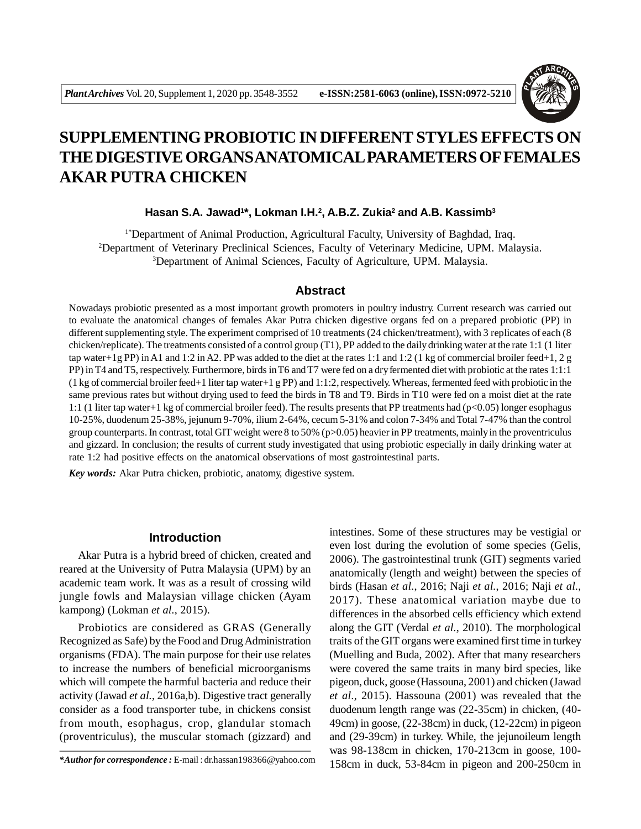

# **SUPPLEMENTING PROBIOTIC IN DIFFERENT STYLES EFFECTS ON THE DIGESTIVE ORGANS ANATOMICAL PARAMETERS OF FEMALES AKAR PUTRA CHICKEN**

## **Hasan S.A. Jawad<sup>1</sup> \*, Lokman I.H.<sup>2</sup> , A.B.Z. Zukia<sup>2</sup> and A.B. Kassimb<sup>3</sup>**

1\*Department of Animal Production, Agricultural Faculty, University of Baghdad, Iraq. <sup>2</sup>Department of Veterinary Preclinical Sciences, Faculty of Veterinary Medicine, UPM. Malaysia. <sup>3</sup>Department of Animal Sciences, Faculty of Agriculture, UPM. Malaysia.

## **Abstract**

Nowadays probiotic presented as a most important growth promoters in poultry industry. Current research was carried out to evaluate the anatomical changes of females Akar Putra chicken digestive organs fed on a prepared probiotic (PP) in different supplementing style. The experiment comprised of 10 treatments (24 chicken/treatment), with 3 replicates of each (8 chicken/replicate). The treatments consisted of a control group (T1), PP added to the daily drinking water at the rate 1:1 (1 liter tap water+1g PP) in A1 and 1:2 in A2. PP was added to the diet at the rates 1:1 and 1:2 (1 kg of commercial broiler feed+1, 2 g PP) in T4 and T5, respectively. Furthermore, birds in T6 and T7 were fed on a dry fermented diet with probiotic at the rates 1:1:1  $(1 \text{ kg of commercial broiler feed} + 1 \text{ liter tap water} + 1 \text{ g PP})$  and  $1:1:2$ , respectively. Whereas, fermented feed with probiotic in the same previous rates but without drying used to feed the birds in T8 and T9. Birds in T10 were fed on a moist diet at the rate 1:1 (1 liter tap water+1 kg of commercial broiler feed). The results presents that PP treatments had (p<0.05) longer esophagus 10-25%, duodenum 25-38%, jejunum 9-70%, ilium 2-64%, cecum 5-31% and colon 7-34% and Total 7-47% than the control group counterparts. In contrast, total GIT weight were 8 to 50% (p>0.05) heavier in PP treatments, mainly in the proventriculus and gizzard. In conclusion; the results of current study investigated that using probiotic especially in daily drinking water at rate 1:2 had positive effects on the anatomical observations of most gastrointestinal parts.

*Key words:* Akar Putra chicken, probiotic, anatomy, digestive system.

# **Introduction**

Akar Putra is a hybrid breed of chicken, created and reared at the University of Putra Malaysia (UPM) by an academic team work. It was as a result of crossing wild jungle fowls and Malaysian village chicken (Ayam kampong) (Lokman *et al.*, 2015).

Probiotics are considered as GRAS (Generally Recognized as Safe) by the Food and Drug Administration organisms (FDA). The main purpose for their use relates to increase the numbers of beneficial microorganisms which will compete the harmful bacteria and reduce their activity (Jawad *et al.*, 2016a,b). Digestive tract generally consider as a food transporter tube, in chickens consist from mouth, esophagus, crop, glandular stomach (proventriculus), the muscular stomach (gizzard) and

intestines. Some of these structures may be vestigial or even lost during the evolution of some species (Gelis, 2006). The gastrointestinal trunk (GIT) segments varied anatomically (length and weight) between the species of birds (Hasan *et al.*, 2016; Naji *et al.*, 2016; Naji *et al.*, 2017). These anatomical variation maybe due to differences in the absorbed cells efficiency which extend along the GIT (Verdal *et al.*, 2010). The morphological traits of the GIT organs were examined first time in turkey (Muelling and Buda, 2002). After that many researchers were covered the same traits in many bird species, like pigeon, duck, goose (Hassouna, 2001) and chicken (Jawad *et al.*, 2015). Hassouna (2001) was revealed that the duodenum length range was (22-35cm) in chicken, (40- 49cm) in goose, (22-38cm) in duck, (12-22cm) in pigeon and (29-39cm) in turkey. While, the jejunoileum length was 98-138cm in chicken, 170-213cm in goose, 100- 158cm in duck, 53-84cm in pigeon and 200-250cm in *\*Author for correspondence :* E-mail : dr.hassan198366@yahoo.com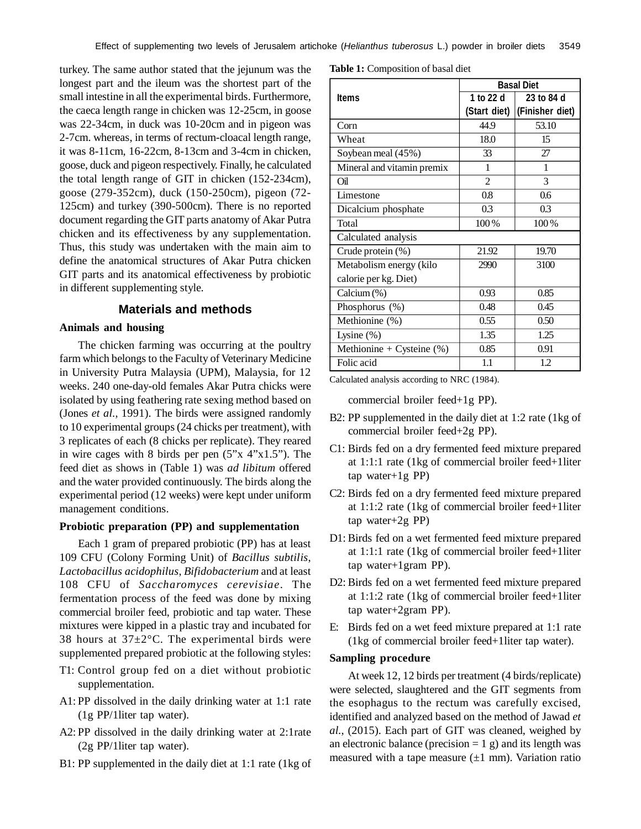turkey. The same author stated that the jejunum was the longest part and the ileum was the shortest part of the small intestine in all the experimental birds. Furthermore, the caeca length range in chicken was 12-25cm, in goose was 22-34cm, in duck was 10-20cm and in pigeon was 2-7cm. whereas, in terms of rectum-cloacal length range, it was 8-11cm, 16-22cm, 8-13cm and 3-4cm in chicken, goose, duck and pigeon respectively. Finally, he calculated the total length range of GIT in chicken (152-234cm), goose (279-352cm), duck (150-250cm), pigeon (72- 125cm) and turkey (390-500cm). There is no reported document regarding the GIT parts anatomy of Akar Putra chicken and its effectiveness by any supplementation. Thus, this study was undertaken with the main aim to define the anatomical structures of Akar Putra chicken GIT parts and its anatomical effectiveness by probiotic in different supplementing style.

# **Materials and methods**

## **Animals and housing**

The chicken farming was occurring at the poultry farm which belongs to the Faculty of Veterinary Medicine in University Putra Malaysia (UPM), Malaysia, for 12 weeks. 240 one-day-old females Akar Putra chicks were isolated by using feathering rate sexing method based on (Jones *et al.*, 1991). The birds were assigned randomly to 10 experimental groups (24 chicks per treatment), with 3 replicates of each (8 chicks per replicate). They reared in wire cages with 8 birds per pen (5"x 4"x1.5"). The feed diet as shows in (Table 1) was *ad libitum* offered and the water provided continuously. The birds along the experimental period (12 weeks) were kept under uniform management conditions.

#### **Probiotic preparation (PP) and supplementation**

Each 1 gram of prepared probiotic (PP) has at least 109 CFU (Colony Forming Unit) of *Bacillus subtilis*, *Lactobacillus acidophilus*, *Bifidobacterium* and at least 108 CFU of *Saccharomyces cerevisiae*. The fermentation process of the feed was done by mixing commercial broiler feed, probiotic and tap water. These mixtures were kipped in a plastic tray and incubated for 38 hours at  $37\pm2^{\circ}$ C. The experimental birds were supplemented prepared probiotic at the following styles:

- T1: Control group fed on a diet without probiotic supplementation.
- A1: PP dissolved in the daily drinking water at 1:1 rate (1g PP/1liter tap water).
- A2: PP dissolved in the daily drinking water at 2:1rate (2g PP/1liter tap water).
- B1: PP supplemented in the daily diet at 1:1 rate (1kg of

**Table 1:** Composition of basal diet

|                              | <b>Basal Diet</b> |                 |  |  |  |
|------------------------------|-------------------|-----------------|--|--|--|
| <b>Items</b>                 | 1 to 22 d         | 23 to 84 d      |  |  |  |
|                              | (Start diet)      | (Finisher diet) |  |  |  |
| Corn                         | 44.9              | 53.10           |  |  |  |
| Wheat                        | 18.0              | 15              |  |  |  |
| Soybean meal (45%)           | 33                | 27              |  |  |  |
| Mineral and vitamin premix   | 1                 | 1               |  |  |  |
| Oil                          | $\mathfrak{D}$    | 3               |  |  |  |
| Limestone                    | 0.8               | $0.6^{\circ}$   |  |  |  |
| Dicalcium phosphate          | 0.3               | 0.3             |  |  |  |
| Total                        | 100%              | 100%            |  |  |  |
| Calculated analysis          |                   |                 |  |  |  |
| Crude protein (%)            | 21.92             | 19.70           |  |  |  |
| Metabolism energy (kilo      | 2990              | 3100            |  |  |  |
| calorie per kg. Diet)        |                   |                 |  |  |  |
| Calcium (%)                  | 0.93              | 0.85            |  |  |  |
| Phosphorus (%)               | 0.48              | 0.45            |  |  |  |
| Methionine (%)               | 0.55              | 0.50            |  |  |  |
| Lysine $(\%)$                | 1.35              | 1.25            |  |  |  |
| Methionine + Cysteine $(\%)$ | 0.85              | 0.91            |  |  |  |
| Folic acid                   | 1.1               | 1.2             |  |  |  |

Calculated analysis according to NRC (1984).

commercial broiler feed+1g PP).

- B2: PP supplemented in the daily diet at 1:2 rate (1kg of commercial broiler feed+2g PP).
- C1: Birds fed on a dry fermented feed mixture prepared at 1:1:1 rate (1kg of commercial broiler feed+1liter tap water+1g PP)
- C2: Birds fed on a dry fermented feed mixture prepared at 1:1:2 rate (1kg of commercial broiler feed+1liter tap water+2g PP)
- D1:Birds fed on a wet fermented feed mixture prepared at 1:1:1 rate (1kg of commercial broiler feed+1liter tap water+1gram PP).
- D2: Birds fed on a wet fermented feed mixture prepared at 1:1:2 rate (1kg of commercial broiler feed+1liter tap water+2gram PP).
- E: Birds fed on a wet feed mixture prepared at 1:1 rate (1kg of commercial broiler feed+1liter tap water).

#### **Sampling procedure**

At week 12, 12 birds per treatment (4 birds/replicate) were selected, slaughtered and the GIT segments from the esophagus to the rectum was carefully excised, identified and analyzed based on the method of Jawad *et al.*, (2015). Each part of GIT was cleaned, weighed by an electronic balance (precision  $= 1$  g) and its length was measured with a tape measure  $(\pm 1 \text{ mm})$ . Variation ratio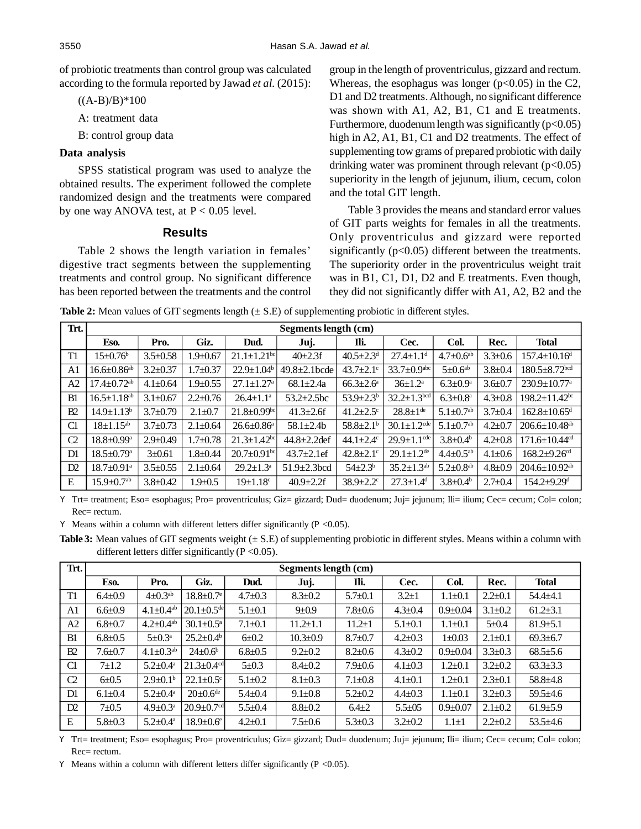of probiotic treatments than control group was calculated according to the formula reported by Jawad *et al.* (2015):

 $((A-B)/B)*100$ 

A: treatment data

B: control group data

#### **Data analysis**

SPSS statistical program was used to analyze the obtained results. The experiment followed the complete randomized design and the treatments were compared by one way ANOVA test, at  $P < 0.05$  level.

#### **Results**

Table 2 shows the length variation in females' digestive tract segments between the supplementing treatments and control group. No significant difference has been reported between the treatments and the control group in the length of proventriculus, gizzard and rectum. Whereas, the esophagus was longer  $(p<0.05)$  in the C2, D1 and D2 treatments. Although, no significant difference was shown with A1, A2, B1, C1 and E treatments. Furthermore, duodenum length was significantly  $(p<0.05)$ high in A2, A1, B1, C1 and D2 treatments. The effect of supplementing tow grams of prepared probiotic with daily drinking water was prominent through relevant  $(p<0.05)$ superiority in the length of jejunum, ilium, cecum, colon and the total GIT length.

Table 3 provides the means and standard error values of GIT parts weights for females in all the treatments. Only proventriculus and gizzard were reported significantly  $(p<0.05)$  different between the treatments. The superiority order in the proventriculus weight trait was in B1, C1, D1, D2 and E treatments. Even though, they did not significantly differ with A1, A2, B2 and the

**Table 2:** Mean values of GIT segments length ( $\pm$  S.E) of supplementing probiotic in different styles.

| Trt.           |                               | Segments length (cm) |                |                               |                     |                             |                               |                             |               |                                 |
|----------------|-------------------------------|----------------------|----------------|-------------------------------|---------------------|-----------------------------|-------------------------------|-----------------------------|---------------|---------------------------------|
|                | Eso.                          | Pro.                 | Giz.           | Dud.                          | Juj.                | Ili.                        | Cec.                          | Col.                        | Rec.          | <b>Total</b>                    |
| T <sub>1</sub> | $15 \pm 0.76^{\circ}$         | $3.5 \pm 0.58$       | $1.9 \pm 0.67$ | $21.1 \pm 1.21$ <sup>bc</sup> | $40\pm 2.3f$        | $40.5 \pm 2.3$ <sup>d</sup> | $27.4 \pm 1.1$ <sup>d</sup>   | $4.7 \pm 0.6$ <sup>ab</sup> | $3.3 \pm 0.6$ | $157.4 \pm 10.16$ <sup>d</sup>  |
| A1             | $16.6 \pm 0.86^{\mathrm{ab}}$ | $3.2 \pm 0.37$       | $1.7 + 0.37$   | $22.9 \pm 1.04^b$             | $49.8 \pm 2.1$ bcde | 43.7 $\pm$ 2.1 $\rm{c}$     | $33.7 \pm 0.9$ <sup>abc</sup> | $5\pm0.6$ <sup>ab</sup>     | $3.8 \pm 0.4$ | $180.5 + 8.72$ bcd              |
| A2             | $17.4 + 0.72$ <sup>ab</sup>   | $4.1 \pm 0.64$       | $1.9 \pm 0.55$ | $27.1 \pm 1.27$ <sup>a</sup>  | $68.1 \pm 2.4a$     | $66.3{\pm}2.6^{\mathrm{a}}$ | $36 \pm 1.2^{\mathrm{a}}$     | $6.3 \pm 0.9^{\mathrm{a}}$  | $3.6 + 0.7$   | $230.9 \pm 10.77$ <sup>a</sup>  |
| B1             | $16.5 + 1.18$ <sup>ab</sup>   | $3.1 \pm 0.67$       | $2.2 \pm 0.76$ | $26.4 \pm 1.1^a$              | $53.2 + 2.5$ bc     | $53.9 \pm 2.3^b$            | $32.2 \pm 1.3^{bcd}$          | $6.3 \pm 0.8^{\mathrm{a}}$  | $4.3 \pm 0.8$ | $198.2 \pm 11.42$ <sup>bc</sup> |
| B2             | $14.9 + 1.13b$                | $3.7 + 0.79$         | $2.1 \pm 0.7$  | $21.8 \pm 0.99$ <sup>bc</sup> | $41.3 + 2.6$ f      | $41.2 + 2.5$ °              | $28.8 \pm 1$ <sup>de</sup>    | $5.1 \pm 0.7$ <sup>ab</sup> | $3.7 + 0.4$   | $162.8 \pm 10.65$ <sup>d</sup>  |
| C1             | $18 \pm 1.15^{ab}$            | $3.7 \pm 0.73$       | $2.1 + 0.64$   | $26.6 \pm 0.86^a$             | $58.1 \pm 2.4$ b    | $58.8 \pm 2.1^b$            | $30.1 \pm 1.2$ <sup>cde</sup> | $5.1 \pm 0.7$ <sup>ab</sup> | $4.2 + 0.7$   | $206.6 \pm 10.48$ <sup>ab</sup> |
| $\Omega$       | $18.8 \pm 0.99^{\mathrm{a}}$  | $2.9 \pm 0.49$       | $1.7 + 0.78$   | $21.3 \pm 1.42$ <sup>bc</sup> | $44.8 \pm 2.2$ def  | 44.1 $\pm$ 2.4 $\degree$    | $29.9 \pm 1.1$ <sup>cde</sup> | $3.8 \pm 0.4^b$             | $4.2 \pm 0.8$ | $171.6 \pm 10.44$ <sup>cd</sup> |
| D1             | $18.5 \pm 0.79$ <sup>a</sup>  | $3 + 0.61$           | $1.8 + 0.44$   | $20.7 \pm 0.91$ <sup>bc</sup> | $43.7 \pm 2.1$ ef   | $42.8 \pm 2.1$ <sup>c</sup> | $29.1 \pm 1.2$ <sup>de</sup>  | $4.4 \pm 0.5^{ab}$          | $4.1 \pm 0.6$ | $168.2 + 9.26$ <sup>cd</sup>    |
| D2             | $18.7 \pm 0.91$ <sup>a</sup>  | $3.5 \pm 0.55$       | $2.1 \pm 0.64$ | $29.2 \pm 1.3^{\mathrm{a}}$   | $51.9 \pm 2.3$ bcd  | $54{\pm}2.3^{\rm b}$        | $35.2 \pm 1.3^{ab}$           | $5.2 \pm 0.8$ <sup>ab</sup> | $4.8 \pm 0.9$ | $204.6 \pm 10.92$ <sup>ab</sup> |
| E              | $15.9 \pm 0.7$ <sup>ab</sup>  | $3.8 + 0.42$         | $1.9 \pm 0.5$  | $19 \pm 1.18$ °               | $40.9 \pm 2.2$ f    | $38.9 \pm 2.2$ <sup>c</sup> | $27.3 \pm 1.4$ <sup>d</sup>   | $3.8 \pm 0.4^b$             | $2.7 \pm 0.4$ | $154.2 + 9.29$ <sup>d</sup>     |

Y Trt= treatment; Eso= esophagus; Pro= proventriculus; Giz= gizzard; Dud= duodenum; Juj= jejunum; Ili= ilium; Cec= cecum; Col= colon; Rec= rectum.

Y Means within a column with different letters differ significantly (P <0.05).

**Table 3:** Mean values of GIT segments weight ( $\pm$  S.E) of supplementing probiotic in different styles. Means within a column with different letters differ significantly  $(P < 0.05)$ .

| Trt.           |               | Segments length (cm)        |                              |               |                |               |               |               |               |                |
|----------------|---------------|-----------------------------|------------------------------|---------------|----------------|---------------|---------------|---------------|---------------|----------------|
|                | Eso.          | Pro.                        | Giz.                         | Dud.          | Juj.           | Ili.          | Cec.          | Col.          | Rec.          | <b>Total</b>   |
| T1             | $6.4 \pm 0.9$ | $4\pm 0.3$ <sup>ab</sup>    | $18.8 \pm 0.7$ <sup>e</sup>  | $4.7 \pm 0.3$ | $8.3 \pm 0.2$  | $5.7 \pm 0.1$ | $3.2 \pm 1$   | $1.1 \pm 0.1$ | $2.2 \pm 0.1$ | $54.4 + 4.1$   |
| A <sub>1</sub> | $6.6 \pm 0.9$ | $4.1 \pm 0.4^{ab}$          | $20.1 \pm 0.5$ <sup>de</sup> | $5.1 \pm 0.1$ | $9 + 0.9$      | $7.8 \pm 0.6$ | $4.3 \pm 0.4$ | $0.9 + 0.04$  | $3.1 \pm 0.2$ | $61.2 \pm 3.1$ |
| A <sub>2</sub> | $6.8 \pm 0.7$ | $4.2 \pm 0.4$ <sup>ab</sup> | $30.1 \pm 0.5^{\text{a}}$    | $7.1 \pm 0.1$ | $11.2 \pm 1.1$ | $11.2 \pm 1$  | $5.1 \pm 0.1$ | $1.1 \pm 0.1$ | $5 + 0.4$     | $81.9{\pm}5.1$ |
| B1             | $6.8 \pm 0.5$ | $5 \pm 0.3^{\text{a}}$      | $25.2+0.4^{\circ}$           | $6 + 0.2$     | $10.3 + 0.9$   | $8.7 \pm 0.7$ | $4.2 \pm 0.3$ | $1 \pm 0.03$  | $2.1 \pm 0.1$ | $69.3 \pm 6.7$ |
| B2             | $7.6 \pm 0.7$ | $4.1 \pm 0.3^{ab}$          | $24+0.6^b$                   | $6.8 \pm 0.5$ | $9.2 \pm 0.2$  | $8.2 \pm 0.6$ | $4.3 \pm 0.2$ | $0.9 + 0.04$  | $3.3 \pm 0.3$ | $68.5 \pm 5.6$ |
| C1             | $7 + 1.2$     | $5.2 \pm 0.4^{\mathrm{a}}$  | $21.3 \pm 0.4$ <sup>cd</sup> | $5 + 0.3$     | $8.4 \pm 0.2$  | $7.9 \pm 0.6$ | $4.1 \pm 0.3$ | $1.2 \pm 0.1$ | $3.2 \pm 0.2$ | $63.3 \pm 3.3$ |
| $\Omega$       | $6 + 0.5$     | $2.9 \pm 0.1^{\circ}$       | $22.1 \pm 0.5$ <sup>c</sup>  | $5.1 \pm 0.2$ | $8.1 \pm 0.3$  | $7.1 \pm 0.8$ | $4.1 \pm 0.1$ | $1.2 + 0.1$   | $2.3 \pm 0.1$ | $58.8 + 4.8$   |
| D1             | $6.1 \pm 0.4$ | $5.2 + 0.4^a$               | $20+0.6^{\text{de}}$         | $5.4 \pm 0.4$ | $9.1 \pm 0.8$  | $5.2 \pm 0.2$ | $4.4 \pm 0.3$ | $1.1 \pm 0.1$ | $3.2 \pm 0.3$ | $59.5 \pm 4.6$ |
| D2             | $7+0.5$       | $4.9 \pm 0.3^{\mathrm{a}}$  | $20.9 + 0.7$ <sup>cd</sup>   | $5.5 \pm 0.4$ | $8.8 \pm 0.2$  | $6.4 \pm 2$   | $5.5 \pm 0.5$ | $0.9 + 0.07$  | $2.1 \pm 0.2$ | $61.9{\pm}5.9$ |
| E              | $5.8 \pm 0.3$ | $5.2 \pm 0.4^{\mathrm{a}}$  | $18.9 \pm 0.6$ <sup>e</sup>  | $4.2 \pm 0.1$ | $7.5 \pm 0.6$  | $5.3 \pm 0.3$ | $3.2 \pm 0.2$ | $1.1 \pm 1$   | $2.2 \pm 0.2$ | $53.5 \pm 4.6$ |

Y Trt= treatment; Eso= esophagus; Pro= proventriculus; Giz= gizzard; Dud= duodenum; Juj= jejunum; Ili= ilium; Cec= cecum; Col= colon; Rec= rectum.

Y Means within a column with different letters differ significantly ( $P < 0.05$ ).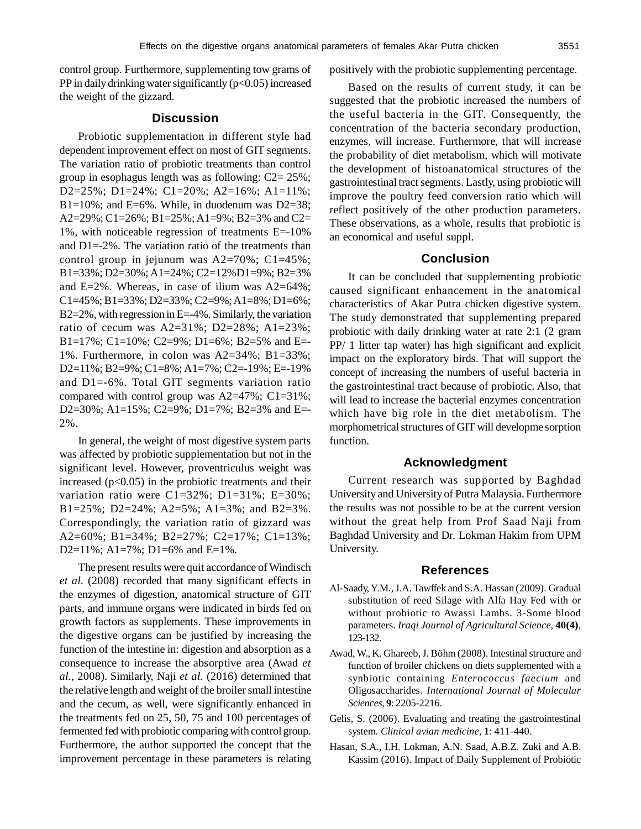control group. Furthermore, supplementing tow grams of PP in daily drinking water significantly  $(p<0.05)$  increased the weight of the gizzard.

## **Discussion**

Probiotic supplementation in different style had dependent improvement effect on most of GIT segments. The variation ratio of probiotic treatments than control group in esophagus length was as following: C2= 25%; D2=25%; D1=24%; C1=20%; A2=16%; A1=11%; B1=10%; and E=6%. While, in duodenum was D2=38; A2=29%; C1=26%; B1=25%; A1=9%; B2=3% and C2= 1%, with noticeable regression of treatments E=-10% and D1=-2%. The variation ratio of the treatments than control group in jejunum was  $A2=70\%$ ;  $C1=45\%$ ; B1=33%; D2=30%; A1=24%; C2=12%D1=9%; B2=3% and E=2%. Whereas, in case of ilium was  $A2=64\%$ ; C1=45%; B1=33%; D2=33%; C2=9%; A1=8%; D1=6%; B2=2%, with regression in E=-4%. Similarly, the variation ratio of cecum was A2=31%; D2=28%; A1=23%; B1=17%; C1=10%; C2=9%; D1=6%; B2=5% and E=- 1%. Furthermore, in colon was A2=34%; B1=33%; D2=11%; B2=9%; C1=8%; A1=7%; C2=-19%; E=-19% and D1=-6%. Total GIT segments variation ratio compared with control group was A2=47%; C1=31%; D2=30%; A1=15%; C2=9%; D1=7%; B2=3% and E=-2%.

In general, the weight of most digestive system parts was affected by probiotic supplementation but not in the significant level. However, proventriculus weight was increased  $(p<0.05)$  in the probiotic treatments and their variation ratio were  $C1=32\%$ ; D1=31%; E=30%; B1=25%; D2=24%; A2=5%; A1=3%; and B2=3%. Correspondingly, the variation ratio of gizzard was A2=60%; B1=34%; B2=27%; C2=17%; C1=13%; D2=11%; A1=7%; D1=6% and E=1%.

The present results were quit accordance of Windisch *et al.* (2008) recorded that many significant effects in the enzymes of digestion, anatomical structure of GIT parts, and immune organs were indicated in birds fed on growth factors as supplements. These improvements in the digestive organs can be justified by increasing the function of the intestine in: digestion and absorption as a consequence to increase the absorptive area (Awad *et al.*, 2008). Similarly, Naji *et al.* (2016) determined that the relative length and weight of the broiler small intestine and the cecum, as well, were significantly enhanced in the treatments fed on 25, 50, 75 and 100 percentages of fermented fed with probiotic comparing with control group. Furthermore, the author supported the concept that the improvement percentage in these parameters is relating

positively with the probiotic supplementing percentage.

Based on the results of current study, it can be suggested that the probiotic increased the numbers of the useful bacteria in the GIT. Consequently, the concentration of the bacteria secondary production, enzymes, will increase. Furthermore, that will increase the probability of diet metabolism, which will motivate the development of histoanatomical structures of the gastrointestinal tract segments. Lastly, using probiotic will improve the poultry feed conversion ratio which will reflect positively of the other production parameters. These observations, as a whole, results that probiotic is an economical and useful suppl.

# **Conclusion**

It can be concluded that supplementing probiotic caused significant enhancement in the anatomical characteristics of Akar Putra chicken digestive system. The study demonstrated that supplementing prepared probiotic with daily drinking water at rate 2:1 (2 gram PP/ 1 litter tap water) has high significant and explicit impact on the exploratory birds. That will support the concept of increasing the numbers of useful bacteria in the gastrointestinal tract because of probiotic. Also, that will lead to increase the bacterial enzymes concentration which have big role in the diet metabolism. The morphometrical structures of GIT will developme sorption function.

# **Acknowledgment**

Current research was supported by Baghdad University and University of Putra Malaysia. Furthermore the results was not possible to be at the current version without the great help from Prof Saad Naji from Baghdad University and Dr. Lokman Hakim from UPM University.

### **References**

- Al-Saady, Y.M., J.A. Tawffek and S.A. Hassan (2009). Gradual substitution of reed Silage with Alfa Hay Fed with or without probiotic to Awassi Lambs. 3-Some blood parameters. *Iraqi Journal of Agricultural Science,* **40(4)**, 123-132.
- Awad, W., K. Ghareeb, J. Böhm (2008). Intestinal structure and function of broiler chickens on diets supplemented with a synbiotic containing *Enterococcus faecium* and Oligosaccharides. *International Journal of Molecular Sciences,* **9**: 2205-2216.
- Gelis, S. (2006). Evaluating and treating the gastrointestinal system. *Clinical avian medicine,* **1**: 411-440.
- Hasan, S.A., I.H. Lokman, A.N. Saad, A.B.Z. Zuki and A.B. Kassim (2016). Impact of Daily Supplement of Probiotic